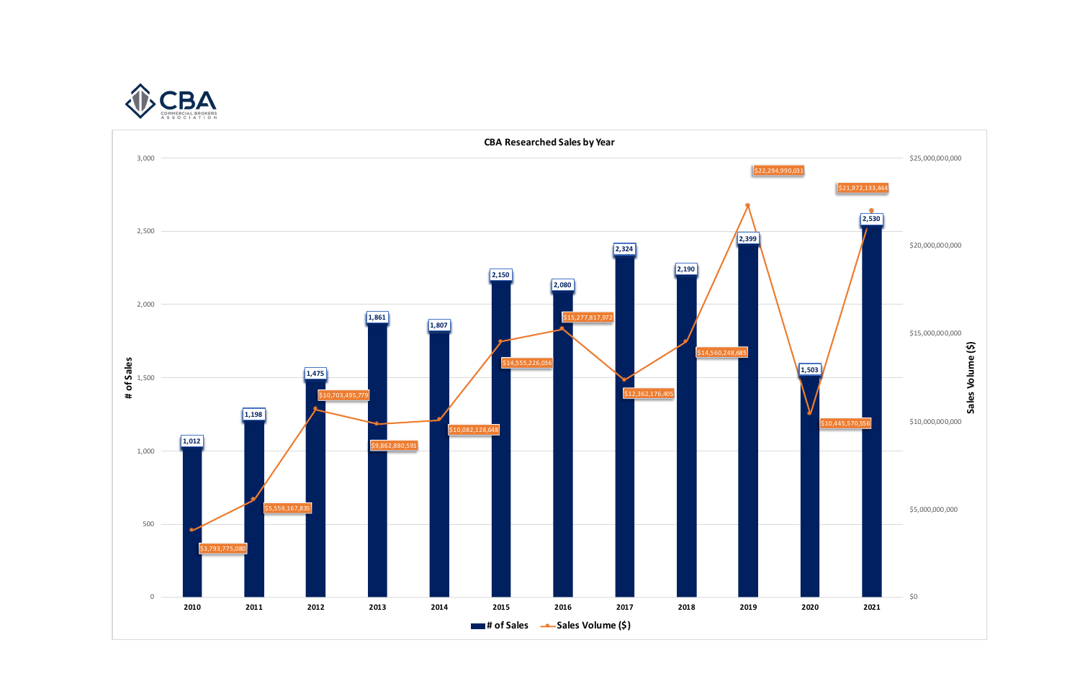

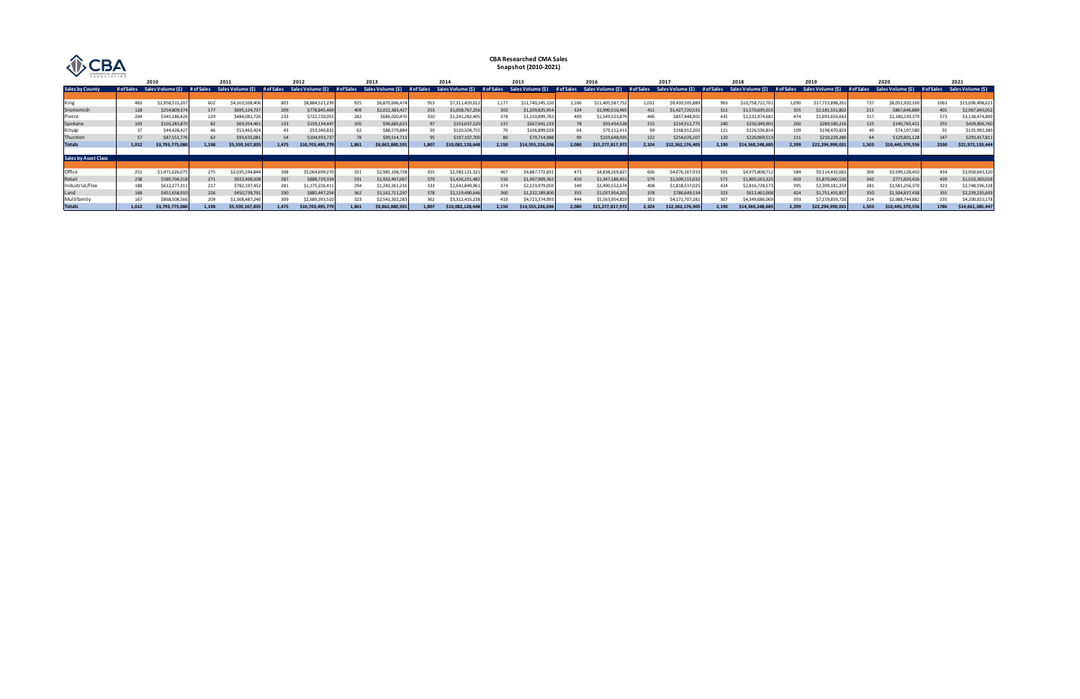| ASSOCIATION                 |                                 |                |            |                   |       |                                 |       |                                            |       |                   |                 | <b>CBA Researched CMA Sales</b><br>Snapshot (2010-2021) |       |                                            |       |                              |       |                   |       |                                 |       |                   |                                 |                  |
|-----------------------------|---------------------------------|----------------|------------|-------------------|-------|---------------------------------|-------|--------------------------------------------|-------|-------------------|-----------------|---------------------------------------------------------|-------|--------------------------------------------|-------|------------------------------|-------|-------------------|-------|---------------------------------|-------|-------------------|---------------------------------|------------------|
|                             |                                 | 2010           |            | 2011              |       | 2012                            |       | 2013                                       |       | 2014              |                 | 2015                                                    | 2016  |                                            | 2017  |                              | 2018  |                   | 2019  |                                 |       | 2020              | 2021                            |                  |
| <b>Sales by County</b>      | # of Sales<br>Sales Volume (\$) |                | # of Sales | Sales Volume (\$) |       | # of Sales<br>Sales Volume (\$) |       | Sales Volume (\$) # of Sales<br># of Sales |       | Sales Volume (\$) |                 | Sales Volume (\$)<br># of Sales                         |       | # of Sales<br>Sales Volume (\$) # of Sales |       | Sales Volume (\$) # of Sales |       | Sales Volume (\$) |       | # of Sales<br>Sales Volume (\$) |       | Sales Volume (\$) | Sales Volume (\$)<br># of Sales |                  |
|                             |                                 |                |            |                   |       |                                 |       |                                            |       |                   |                 |                                                         |       |                                            |       |                              |       |                   |       |                                 |       |                   |                                 |                  |
| King                        | 483                             | \$2,958,515,20 | 602        | \$4,163,508,406   | 803   | \$8,884,521,239                 | 925   | \$6,870,696,474                            | 953   | \$7,311,429,01.   | 1.177           | \$11,740,245,150                                        | 1,106 | \$11,405,587,75                            | 1,031 | \$9,439,505,88               | 963   | \$10,758,722,76   | 1,090 | \$17,723,898,261                | 737   | \$8,052,920,169   | 1063                            | \$15,006,498,623 |
| Snohomish                   | 128                             | \$254,809,374  | 177        | \$695,124,737     | 209   | \$778,845,469                   | 409   | \$2,021,383,42                             | 253   | \$1,058,767,256   | 30 <sub>i</sub> | \$1,209,825,954                                         | 324   | \$1,990,510,465                            | 411   | \$1,427,720,531              | 311   | \$1,570,695,015   | 355   | \$2,181,551,802                 | 211   | \$867,646,889     |                                 | \$2,967,843,052  |
| Pierce                      | 204                             | \$345,186,426  | 229        | \$484,082,726     | 233   | \$722,720,055                   | 282   | \$686,020,47                               |       | \$1,241,282,40    | 378             | \$1,150,899,78                                          | 409   | \$1,549,523,87                             | 446   | \$857,448,901                | 435   | \$1,532,974,681   | 474   | \$1,691,659,643                 |       | \$1,180,239,37    |                                 | \$3,138,474,809  |
| Spokane                     | 103                             | \$103,283,870  | 82         | \$69,354,461      | 133   | \$159,134,447                   | 105   | \$96,685,623                               |       | \$153,037,520     | 137             | \$267,641,13                                            |       | \$93,434,528                               | 215   | \$214,512,775                | 240   | \$250,349,901     | 260   | \$289,180,216                   | 125   | \$140,765,411     | 255                             | \$429,906,760    |
| Kitsap                      | 37                              | \$44,428,427   | 46         | \$53,462,42       |       | \$53,340,832                    |       | \$88.579.884                               |       | \$120,504,75      |                 | \$106,899,02                                            |       | \$79,112,413                               | 99    | \$168,912,20                 | 121   | \$226,536,814     | 109   | \$198,470,829                   |       | \$74,197,580      |                                 | \$135,992,389    |
| Thurston                    | 57                              | \$87,551,776   | 62         | \$93,635,081      | 54    | \$104,933,737                   |       | \$99,514,713                               |       | \$197,107,700     |                 | \$79,714,988                                            |       | \$159,648,935                              | 122   | \$254,076,10                 | 120   | \$220,969,513     | 111   | \$210,229,280                   |       | \$129,801,128     | 147                             | \$293,417,811    |
| <b>Totals</b>               | 1,012                           | \$3,793,775,08 | 1.198      | \$5,559,167,835   | 1,475 | \$10,703,495,779                | 1.861 | \$9,862,880,591                            | 1.807 | \$10,082,128,648  | 2,150           | \$14,555,226,036                                        | 2,080 | \$15,277,817,972                           | 2,324 | \$12,362,176,405             | 2,190 | \$14,560,248,685  | 2.399 | \$22,294,990,031                | 1.503 | \$10,445,570,556  | 2530                            | \$21,972,133,444 |
|                             |                                 |                |            |                   |       |                                 |       |                                            |       |                   |                 |                                                         |       |                                            |       |                              |       |                   |       |                                 |       |                   |                                 |                  |
| <b>Sales by Asset Class</b> |                                 |                |            |                   |       |                                 |       |                                            |       |                   |                 |                                                         |       |                                            |       |                              |       |                   |       |                                 |       |                   |                                 |                  |
|                             |                                 |                |            |                   |       |                                 |       |                                            |       |                   |                 |                                                         |       |                                            |       |                              |       |                   |       |                                 |       |                   |                                 |                  |
| Office                      | 251                             | \$1,471,626,07 | 275        | \$2,035,244,844   | 308   | \$5,064,699,27                  |       | \$2,985,108,72                             | 355   | \$2,582,121,32    | 467             | \$4,887,772,83                                          | 473   | \$4,838,169,82                             | 606   | \$4,076,167,93               | 565   | \$4,975,808,71    | 584   | \$9,114,432,665                 | 306   | \$3,599,128,450   | 434                             | \$3,950,643,320  |
| Retail                      | 238                             | \$389,704,218  | 271        | \$922,498,508     | 287   | \$888,729,334                   | 531   | \$1,932,497,067                            | 379   | \$1,426,251,482   | 530             | \$1,497,909,36                                          | 459   | \$1,347,186,451                            | 579   | \$1,509,115,032              | 571   | \$1,805,563,325   | 603   | \$1,870,060,530                 | 342   | \$771,603,416     | 439                             | \$1,523,300,018  |
| Industrial/Flex             | 188                             | \$612,277,31   | 217        | \$782,197,452     |       | \$1,175,226,411                 |       | \$1,242,261,21                             | 333   | \$1,641,849,96:   | 374             | \$2,223,979,050                                         | 349   | \$2,490,552,67                             | 408   | \$1,818,537,02               | 424   | \$2,816,728,57    | 395   | \$2,399,181,259                 | 281   | \$1,581,256,370   |                                 | \$2,748,196,328  |
| Land                        | 168                             | \$451,658,910  | 226        | \$450,739,791     | 290   | \$885,447,254                   | 362   | \$1,161,711,297                            | 378   | \$1,119,490,64    | 360             | \$1,222,189,800                                         | 355   | \$1,037,954,201                            | 378   | \$786,649,13                 | 323   | \$612,462,006     | 424   | \$1,751,455,857                 | 350   | \$1,504,837,438   | 355                             | \$2,239,235,603  |
| Multifamily                 | 167                             | \$868,508,566  | 209        | \$1,368,487,24    |       | \$2,689,393,51                  | 323   | \$2,541,302,283                            |       | \$3,312,415,23    | 419             | \$4,723,374,993                                         | 444   | \$5,563,954,819                            | 353   | \$4,171,707,281              | 307   | \$4,349,686,069   | 393   | \$7,159,859,72                  | 224   | \$2,988,744,882   |                                 | \$4,200,010,178  |
| <b>Totals</b>               | 1,012                           | \$3,793,775,08 | 1.198      | \$5,559,167,835   | 1,475 | \$10,703,495,779                |       | \$9,862,880,591                            | 1.807 | \$10,082,128,648  | 2,150           | \$14,555,226,03                                         | 2,080 | \$15,277,817,972                           | 2.324 | \$12,362,176,405             | 2.190 | \$14,560,248,685  | 2.399 | \$22,294,990,031                | 1.503 | \$10,445,570,556  |                                 | \$14,661,385,447 |